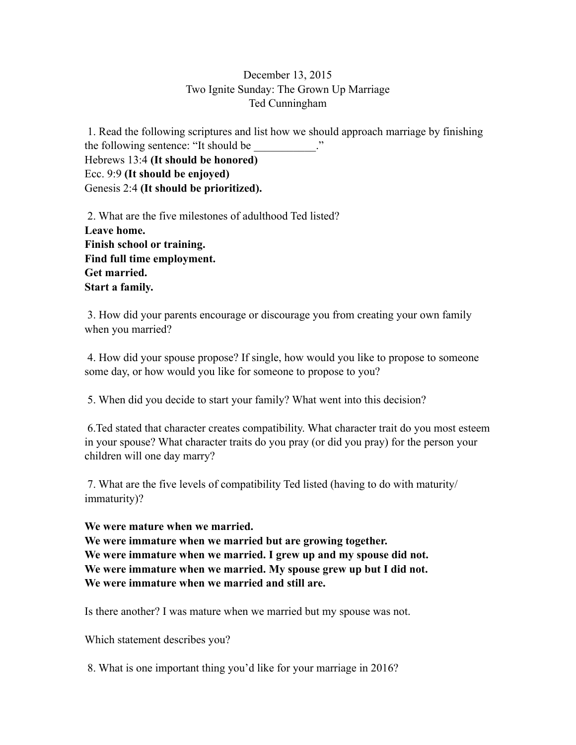## December 13, 2015 Two Ignite Sunday: The Grown Up Marriage Ted Cunningham

 1. Read the following scriptures and list how we should approach marriage by finishing the following sentence: "It should be Hebrews 13:4 **(It should be honored)**  Ecc. 9:9 **(It should be enjoyed)**  Genesis 2:4 **(It should be prioritized).** 

2. What are the five milestones of adulthood Ted listed? **Leave home. Finish school or training. Find full time employment. Get married. Start a family.** 

3. How did your parents encourage or discourage you from creating your own family when you married?

 4. How did your spouse propose? If single, how would you like to propose to someone some day, or how would you like for someone to propose to you?

5. When did you decide to start your family? What went into this decision?

 6.Ted stated that character creates compatibility. What character trait do you most esteem in your spouse? What character traits do you pray (or did you pray) for the person your children will one day marry?

 7. What are the five levels of compatibility Ted listed (having to do with maturity/ immaturity)?

**We were mature when we married.** 

**We were immature when we married but are growing together. We were immature when we married. I grew up and my spouse did not. We were immature when we married. My spouse grew up but I did not. We were immature when we married and still are.** 

Is there another? I was mature when we married but my spouse was not.

Which statement describes you?

8. What is one important thing you'd like for your marriage in 2016?